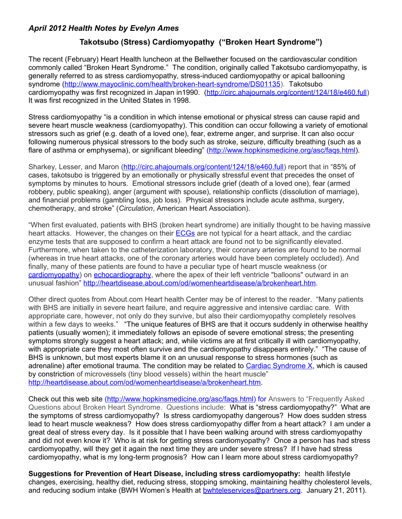## *April 2012 Health Notes by Evelyn Ames*

## **Takotsubo (Stress) Cardiomyopathy ("Broken Heart Syndrome")**

The recent (February) Heart Health luncheon at the Bellwether focused on the cardiovascular condition commonly called "Broken Heart Syndrome." The condition, originally called Takotsubo cardiomyopathy, is generally referred to as stress cardiomyopathy, stress-induced cardiomyopathy or apical ballooning syndrome [\(http://www.mayoclinic.com/health/broken-heart-syndrome/DS01135\)](http://www.mayoclinic.com/health/broken-heart-syndrome/DS01135). Takotsubo cardiomyopathy was first recognized in Japan in1990. [\(http://circ.ahajournals.org/content/124/18/e460.full\)](http://circ.ahajournals.org/content/124/18/e460.full) It was first recognized in the United States in 1998.

Stress cardiomyopathy "is a condition in which intense emotional or physical stress can cause rapid and severe heart muscle weakness (cardiomyopathy). This condition can occur following a variety of emotional stressors such as grief (e.g. death of a loved one), fear, extreme anger, and surprise. It can also occur following numerous physical stressors to the body such as stroke, seizure, difficulty breathing (such as a flare of asthma or emphysema), or significant bleeding" [\(http://www.hopkinsmedicine.org/asc/faqs.html\)](http://www.hopkinsmedicine.org/asc/faqs.html).

Sharkey, Lesser, and Maron [\(http://circ.ahajournals.org/content/124/18/e460.full\)](http://circ.ahajournals.org/content/124/18/e460.full) report that in "85% of cases, takotsubo is triggered by an emotionally or physically stressful event that precedes the onset of symptoms by minutes to hours. Emotional stressors include grief (death of a loved one), fear (armed robbery, public speaking), anger (argument with spouse), relationship conflicts (dissolution of marriage), and financial problems (gambling loss, job loss). Physical stressors include acute asthma, surgery, chemotherapy, and stroke" (*Circulation*, American Heart Association).

"When first evaluated, patients with BHS (broken heart syndrome) are initially thought to be having massive heart attacks. However, the changes on their **ECGs** are not typical for a heart attack, and the cardiac enzyme tests that are supposed to confirm a heart attack are found not to be significantly elevated. Furthermore, when taken to the catheterization laboratory, their coronary arteries are found to be normal (whereas in true heart attacks, one of the coronary arteries would have been completely occluded). And finally, many of these patients are found to have a peculiar type of heart muscle weakness (or [cardiomyopathy\)](http://heartdisease.about.com/od/livingwithheartfailure/a/heart_failure.htm) on [echocardiography,](http://heartdisease.about.com/cs/cardiactests/a/echo.htm) where the apex of their left ventricle "balloons" outward in an unusual fashion" [http://heartdisease.about.com/od/womenheartdisease/a/brokenheart.htm.](http://heartdisease.about.com/od/womenheartdisease/a/brokenheart.htm)

Other direct quotes from About.com Heart health Center may be of interest to the reader. "Many patients with BHS are initially in severe heart failure, and require aggressive and intensive cardiac care. With appropriate care, however, not only do they survive, but also their cardiomyopathy completely resolves within a few days to weeks." "The unique features of BHS are that it occurs suddenly in otherwise healthy patients (usually women); it immediately follows an episode of severe emotional stress; the presenting symptoms strongly suggest a heart attack; and, while victims are at first critically ill with cardiomyopathy, with appropriate care they most often survive and the cardiomyopathy disappears entirely." "The cause of BHS is unknown, but most experts blame it on an unusual response to stress hormones (such as adrenaline) after emotional trauma. The condition may be related to [Cardiac Syndrome X,](http://heartdisease.about.com/cs/coronarydisease/a/CSX.htm) which is caused by constriction of microvessels (tiny blood vessels) within the heart muscle" [http://heartdisease.about.com/od/womenheartdisease/a/brokenheart.htm.](http://heartdisease.about.com/od/womenheartdisease/a/brokenheart.htm)

Check out this web site [\(http://www.hopkinsmedicine.org/asc/faqs.html\)](http://www.hopkinsmedicine.org/asc/faqs.html) for Answers to "Frequently Asked Questions about Broken Heart Syndrome. Questions include:What is "stress cardiomyopathy?" What are the symptoms of stress cardiomyopathy? Is stress cardiomyopathy dangerous? How does sudden stress lead to heart muscle weakness? How does stress cardiomyopathy differ from a heart attack? I am under a great deal of stress every day. Is it possible that I have been walking around with stress cardiomyopathy and did not even know it? Who is at risk for getting stress cardiomyopathy? Once a person has had stress cardiomyopathy, will they get it again the next time they are under severe stress? If I have had stress cardiomyopathy, what is my long-term prognosis? How can I learn more about stress cardiomyopathy?

**Suggestions for Prevention of Heart Disease, including stress cardiomyopathy:** health lifestyle changes, exercising, healthy diet, reducing stress, stopping smoking, maintaining healthy cholesterol levels, and reducing sodium intake (BWH Women's Health at **bwhteleservices@partners.org.** January 21, 2011).